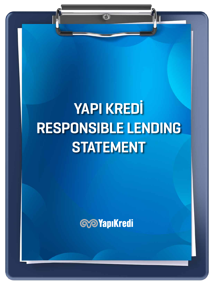# YAPI KREDİ RESPONSIBLE LENDING **STATEMENT**

 $\bigoplus$ 

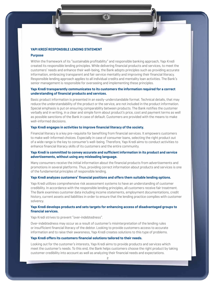2

#### YAPI KREDİ RESPONSIBLE LENDING STATEMENT

#### **Purpose**

Within the framework of its "sustainable profitability" and responsible banking approach, Yapı Kredi created its responsible lending principles. While delivering financial products and services, to meet the customers' needs and enhance their well-being, the Bank adopts principles such as providing accurate information, embracing transparent and fair service mentality and improving their financial literacy. Responsible lending approach applies to all individual credits and mentality loan activities. The Bank's senior management is responsible for overseeing and implementing these principles.

#### Yapı Kredi transparently communicates to its customers the information required for a correct understanding of financial products and services.

Basic product information is presented in an easily-understandable format. Technical details, that may reduce the understandability of the product or the service, are not included in the product information. Special emphasis is put on ensuring comparability between products. The Bank notifies the customer verbally and in writing, in a clear and simple form about product's price, cost and payment terms as well as possible sanctions of the Bank in case of default. Customers are provided with the means to make well-informed decisions.

#### Yapı Kredi engages in activities to improve financial literacy of the society.

Financial literacy is a key pre-requisite for benefiting from financial services. It empowers customers to make well-informed choices. Especially in case of consumer loans, selecting the right product out of a wide range is the key to consumer's well-being. Therefore, Yapı Kredi aims to conduct activities to enhance financial literacy skills of its customers and the entire community.

#### Yapı Kredi is committed to convey accurate and sufficient information in its product and service advertisements, without using any misleading language.

Many consumers receive the initial information about the financial products from advertisements and promotions in several platforms. Thus, providing correct information about products and services is one of the fundamental principles of responsible lending.

#### Yapı Kredi analyzes customers' financial positions and offers them suitable lending options.

Yapı Kredi utilizes comprehensive risk assessment systems to have an understanding of customer credibility. In accordance with the responsible lending principles, all customers receive fair treatment. The Bank examines customer data including income statements, employment documentations, credit history, current assets and liabilities in order to ensure that the lending practice complies with customer solvency.

#### Yapı Kredi develops products and sets targets for enhancing access of disadvantaged groups to financial services.

Yapı Kredi strives to prevent "over-indebtedness".

Over-indebtedness may occur as a result of customer's misinterpretation of the lending rules or insufficient financial literacy of the debtor. Looking to provide customers access to accurate information and to raise their awareness, Yapı Kredi creates solutions to this type of problems.

#### Yapı Kredi offers its customers financial solutions tailored to their needs.

Looking out for the customer's interests, Yapı Kredi aims to provide products and services which meet the customer's needs. To this end, the Bank helps customers choose the right product by taking customer credibility into account as well as analyzing their financial needs and expectations.